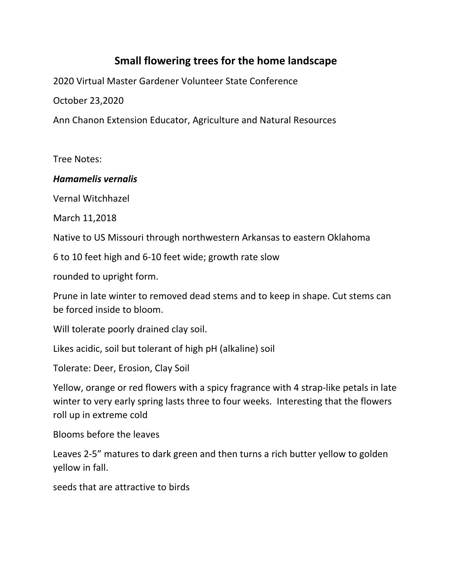# **Small flowering trees for the home landscape**

2020 Virtual Master Gardener Volunteer State Conference

October 23,2020

Ann Chanon Extension Educator, Agriculture and Natural Resources

Tree Notes:

### *Hamamelis vernalis*

Vernal Witchhazel

March 11,2018

Native to US Missouri through northwestern Arkansas to eastern Oklahoma

6 to 10 feet high and 6-10 feet wide; growth rate slow

rounded to upright form.

Prune in late winter to removed dead stems and to keep in shape. Cut stems can be forced inside to bloom.

Will tolerate poorly drained clay soil.

Likes acidic, soil but tolerant of high pH (alkaline) soil

Tolerate: Deer, Erosion, Clay Soil

Yellow, orange or red flowers with a spicy fragrance with 4 strap-like petals in late winter to very early spring lasts three to four weeks. Interesting that the flowers roll up in extreme cold

Blooms before the leaves

Leaves 2-5" matures to dark green and then turns a rich butter yellow to golden yellow in fall.

seeds that are attractive to birds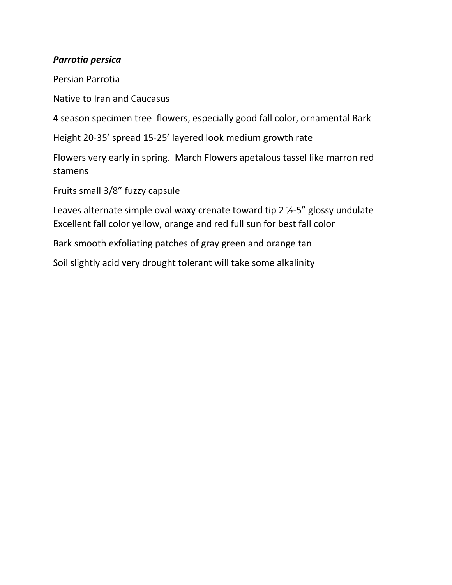## *Parrotia persica*

Persian Parrotia

Native to Iran and Caucasus

4 season specimen tree flowers, especially good fall color, ornamental Bark

Height 20-35' spread 15-25' layered look medium growth rate

Flowers very early in spring. March Flowers apetalous tassel like marron red stamens

Fruits small 3/8" fuzzy capsule

Leaves alternate simple oval waxy crenate toward tip 2 ½-5" glossy undulate Excellent fall color yellow, orange and red full sun for best fall color

Bark smooth exfoliating patches of gray green and orange tan

Soil slightly acid very drought tolerant will take some alkalinity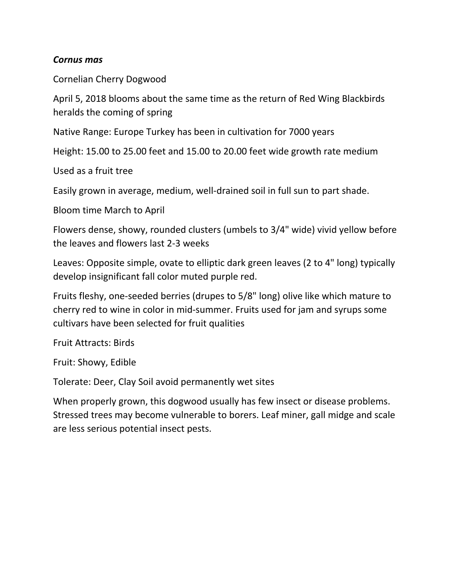### *Cornus mas*

Cornelian Cherry Dogwood

April 5, 2018 blooms about the same time as the return of Red Wing Blackbirds heralds the coming of spring

Native Range: Europe Turkey has been in cultivation for 7000 years

Height: 15.00 to 25.00 feet and 15.00 to 20.00 feet wide growth rate medium

Used as a fruit tree

Easily grown in average, medium, well-drained soil in full sun to part shade.

Bloom time March to April

Flowers dense, showy, rounded clusters (umbels to 3/4" wide) vivid yellow before the leaves and flowers last 2-3 weeks

Leaves: Opposite simple, ovate to elliptic dark green leaves (2 to 4" long) typically develop insignificant fall color muted purple red.

Fruits fleshy, one-seeded berries (drupes to 5/8" long) olive like which mature to cherry red to wine in color in mid-summer. Fruits used for jam and syrups some cultivars have been selected for fruit qualities

Fruit Attracts: Birds

Fruit: Showy, Edible

Tolerate: Deer, Clay Soil avoid permanently wet sites

When properly grown, this dogwood usually has few insect or disease problems. Stressed trees may become vulnerable to borers. Leaf miner, gall midge and scale are less serious potential insect pests.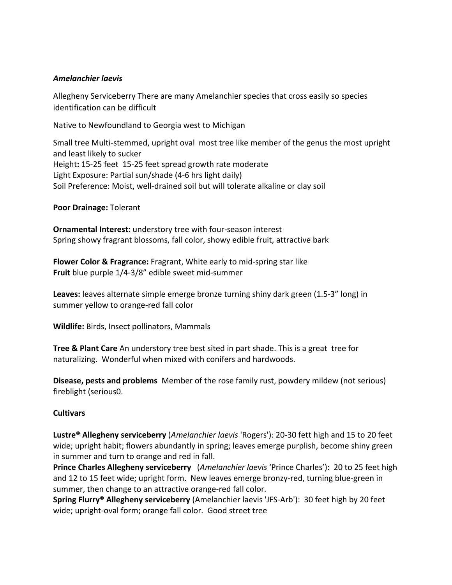#### *Amelanchier laevis*

Allegheny Serviceberry There are many Amelanchier species that cross easily so species identification can be difficult

Native to Newfoundland to Georgia west to Michigan

Small tree Multi-stemmed, upright oval most tree like member of the genus the most upright and least likely to sucker Height**:** 15-25 feet 15-25 feet spread growth rate moderate Light Exposure: Partial sun/shade (4-6 hrs light daily) Soil Preference: Moist, well-drained soil but will tolerate alkaline or clay soil

**Poor Drainage:** Tolerant

**Ornamental Interest:** understory tree with four-season interest Spring showy fragrant blossoms, fall color, showy edible fruit, attractive bark

**Flower Color & Fragrance:** Fragrant, White early to mid-spring star like **Fruit** blue purple 1/4-3/8" edible sweet mid-summer

**Leaves:** leaves alternate simple emerge bronze turning shiny dark green (1.5-3" long) in summer yellow to orange-red fall color

**Wildlife:** Birds, Insect pollinators, Mammals

**Tree & Plant Care** An understory tree best sited in part shade. This is a great tree for naturalizing. Wonderful when mixed with conifers and hardwoods.

**Disease, pests and problems** Member of the rose family rust, powdery mildew (not serious) fireblight (serious0.

#### **Cultivars**

**Lustre® Allegheny serviceberry** (*Amelanchier laevis* 'Rogers'): 20-30 fett high and 15 to 20 feet wide; upright habit; flowers abundantly in spring; leaves emerge purplish, become shiny green in summer and turn to orange and red in fall.

**Prince Charles Allegheny serviceberry** (*Amelanchier laevis* 'Prince Charles'): 20 to 25 feet high and 12 to 15 feet wide; upright form. New leaves emerge bronzy-red, turning blue-green in summer, then change to an attractive orange-red fall color.

**Spring Flurry® Allegheny serviceberry** (Amelanchier laevis 'JFS-Arb'): 30 feet high by 20 feet wide; upright-oval form; orange fall color. Good street tree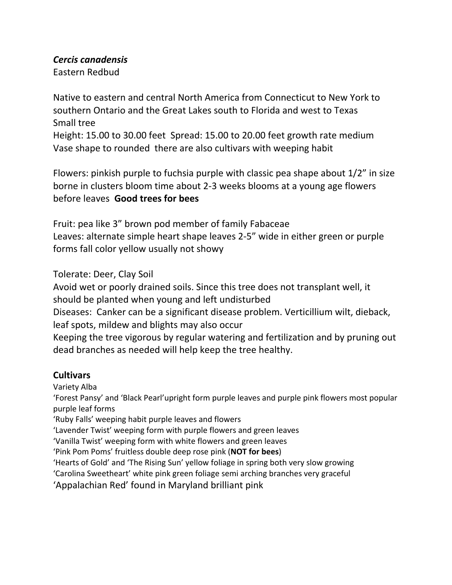### *Cercis canadensis*

Eastern Redbud

Native to eastern and central North America from Connecticut to New York to southern Ontario and the Great Lakes south to Florida and west to Texas Small tree

Height: 15.00 to 30.00 feet Spread: 15.00 to 20.00 feet growth rate medium Vase shape to rounded there are also cultivars with weeping habit

Flowers: pinkish purple to fuchsia purple with classic pea shape about 1/2" in size borne in clusters bloom time about 2-3 weeks blooms at a young age flowers before leaves **Good trees for bees**

Fruit: pea like 3" brown pod member of family Fabaceae Leaves: alternate simple heart shape leaves 2-5" wide in either green or purple forms fall color yellow usually not showy

Tolerate: Deer, Clay Soil

Avoid wet or poorly drained soils. Since this tree does not transplant well, it should be planted when young and left undisturbed

Diseases: Canker can be a significant disease problem. Verticillium wilt, dieback, leaf spots, mildew and blights may also occur

Keeping the tree vigorous by regular watering and fertilization and by pruning out dead branches as needed will help keep the tree healthy.

# **Cultivars**

Variety Alba

'Forest Pansy' and 'Black Pearl'upright form purple leaves and purple pink flowers most popular purple leaf forms

'Ruby Falls' weeping habit purple leaves and flowers

'Lavender Twist' weeping form with purple flowers and green leaves

'Vanilla Twist' weeping form with white flowers and green leaves

'Pink Pom Poms' fruitless double deep rose pink (**NOT for bees**)

'Hearts of Gold' and 'The Rising Sun' yellow foliage in spring both very slow growing

'Carolina Sweetheart' white pink green foliage semi arching branches very graceful

'Appalachian Red' found in Maryland brilliant pink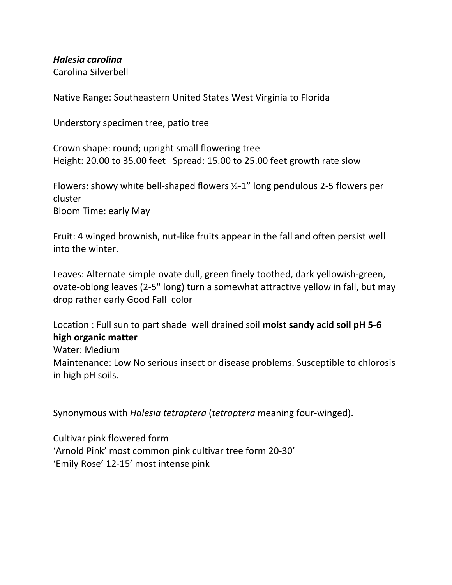*Halesia carolina*

Carolina Silverbell

Native Range: Southeastern United States West Virginia to Florida

Understory specimen tree, patio tree

Crown shape: round; upright small flowering tree Height: 20.00 to 35.00 feet Spread: 15.00 to 25.00 feet growth rate slow

Flowers: showy white bell-shaped flowers ½-1" long pendulous 2-5 flowers per cluster Bloom Time: early May

Fruit: 4 winged brownish, nut-like fruits appear in the fall and often persist well into the winter.

Leaves: Alternate simple ovate dull, green finely toothed, dark yellowish-green, ovate-oblong leaves (2-5" long) turn a somewhat attractive yellow in fall, but may drop rather early Good Fall color

Location : Full sun to part shade well drained soil **moist sandy acid soil pH 5-6 high organic matter**

Water: Medium

Maintenance: Low No serious insect or disease problems. Susceptible to chlorosis in high pH soils.

Synonymous with *Halesia tetraptera* (*tetraptera* meaning four-winged).

Cultivar pink flowered form 'Arnold Pink' most common pink cultivar tree form 20-30' 'Emily Rose' 12-15' most intense pink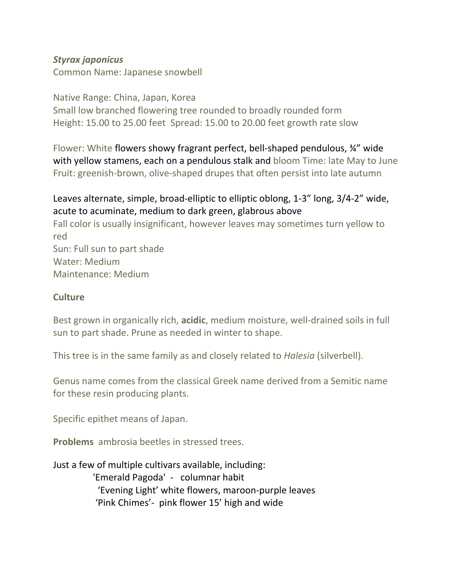## *Styrax japonicus*

Common Name: Japanese snowbell

### Native Range: China, Japan, Korea

Small low branched flowering tree rounded to broadly rounded form Height: 15.00 to 25.00 feet Spread: 15.00 to 20.00 feet growth rate slow

Flower: White flowers showy fragrant perfect, bell-shaped pendulous, ¾" wide with yellow stamens, each on a pendulous stalk and bloom Time: late May to June Fruit: greenish-brown, olive-shaped drupes that often persist into late autumn

# Leaves alternate, simple, broad-elliptic to elliptic oblong, 1-3" long, 3/4-2" wide, acute to acuminate, medium to dark green, glabrous above

Fall color is usually insignificant, however leaves may sometimes turn yellow to red Sun: Full sun to part shade Water: Medium Maintenance: Medium

## **Culture**

Best grown in organically rich, **acidic**, medium moisture, well-drained soils in full sun to part shade. Prune as needed in winter to shape.

This tree is in the same family as and closely related to *Halesia* (silverbell).

Genus name comes from the classical Greek name derived from a Semitic name for these resin producing plants.

Specific epithet means of Japan.

**Problems** ambrosia beetles in stressed trees.

Just a few of multiple cultivars available, including: 'Emerald Pagoda' - columnar habit 'Evening Light' white flowers, maroon-purple leaves 'Pink Chimes'- pink flower 15' high and wide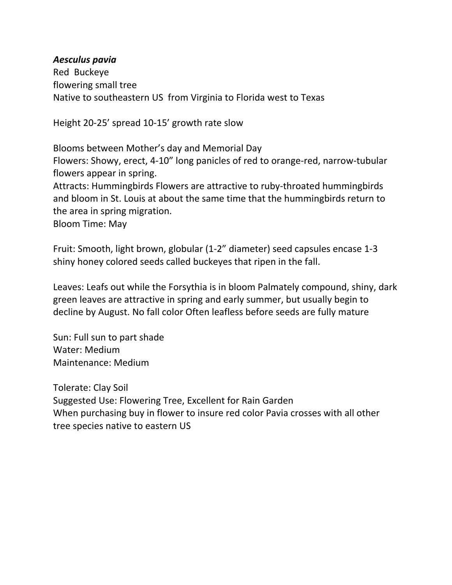#### *Aesculus pavia*

Red Buckeye flowering small tree Native to southeastern US from Virginia to Florida west to Texas

Height 20-25' spread 10-15' growth rate slow

Blooms between Mother's day and Memorial Day

Flowers: Showy, erect, 4-10" long panicles of red to orange-red, narrow-tubular flowers appear in spring.

Attracts: Hummingbirds Flowers are attractive to ruby-throated hummingbirds and bloom in St. Louis at about the same time that the hummingbirds return to the area in spring migration.

Bloom Time: May

Fruit: Smooth, light brown, globular (1-2" diameter) seed capsules encase 1-3 shiny honey colored seeds called buckeyes that ripen in the fall.

Leaves: Leafs out while the Forsythia is in bloom Palmately compound, shiny, dark green leaves are attractive in spring and early summer, but usually begin to decline by August. No fall color Often leafless before seeds are fully mature

Sun: Full sun to part shade Water: Medium Maintenance: Medium

Tolerate: Clay Soil Suggested Use: Flowering Tree, Excellent for Rain Garden When purchasing buy in flower to insure red color Pavia crosses with all other tree species native to eastern US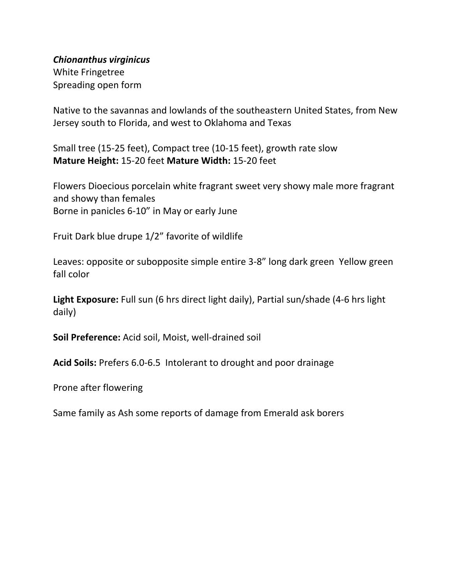*Chionanthus virginicus*

White Fringetree Spreading open form

Native to the savannas and lowlands of the southeastern United States, from New Jersey south to Florida, and west to Oklahoma and Texas

Small tree (15-25 feet), Compact tree (10-15 feet), growth rate slow **Mature Height:** 15-20 feet **Mature Width:** 15-20 feet

Flowers Dioecious porcelain white fragrant sweet very showy male more fragrant and showy than females Borne in panicles 6-10" in May or early June

Fruit Dark blue drupe 1/2" favorite of wildlife

Leaves: opposite or subopposite simple entire 3-8" long dark green Yellow green fall color

**Light Exposure:** Full sun (6 hrs direct light daily), Partial sun/shade (4-6 hrs light daily)

**Soil Preference:** Acid soil, Moist, well-drained soil

**Acid Soils:** Prefers 6.0-6.5 Intolerant to drought and poor drainage

Prone after flowering

Same family as Ash some reports of damage from Emerald ask borers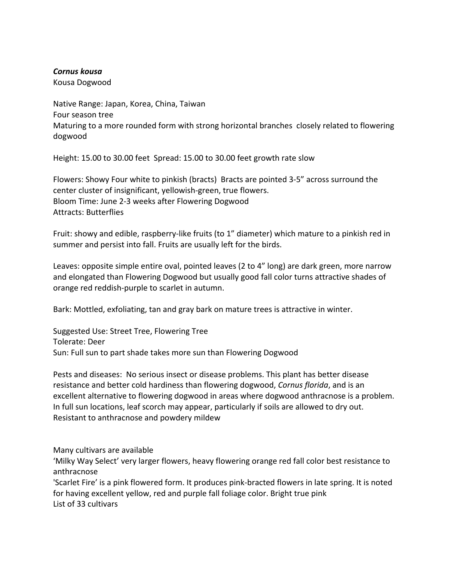#### *Cornus kousa*

Kousa Dogwood

Native Range: Japan, Korea, China, Taiwan Four season tree Maturing to a more rounded form with strong horizontal branches closely related to flowering dogwood

Height: 15.00 to 30.00 feet Spread: 15.00 to 30.00 feet growth rate slow

Flowers: Showy Four white to pinkish (bracts) Bracts are pointed 3-5" across surround the center cluster of insignificant, yellowish-green, true flowers. Bloom Time: June 2-3 weeks after Flowering Dogwood Attracts: Butterflies

Fruit: showy and edible, raspberry-like fruits (to 1" diameter) which mature to a pinkish red in summer and persist into fall. Fruits are usually left for the birds.

Leaves: opposite simple entire oval, pointed leaves (2 to 4" long) are dark green, more narrow and elongated than Flowering Dogwood but usually good fall color turns attractive shades of orange red reddish-purple to scarlet in autumn.

Bark: Mottled, exfoliating, tan and gray bark on mature trees is attractive in winter.

Suggested Use: Street Tree, Flowering Tree Tolerate: Deer Sun: Full sun to part shade takes more sun than Flowering Dogwood

Pests and diseases: No serious insect or disease problems. This plant has better disease resistance and better cold hardiness than flowering dogwood, *Cornus florida*, and is an excellent alternative to flowering dogwood in areas where dogwood anthracnose is a problem. In full sun locations, leaf scorch may appear, particularly if soils are allowed to dry out. Resistant to anthracnose and powdery mildew

Many cultivars are available

'Milky Way Select' very larger flowers, heavy flowering orange red fall color best resistance to anthracnose

'Scarlet Fire' is a pink flowered form. It produces pink-bracted flowers in late spring. It is noted for having excellent yellow, red and purple fall foliage color. Bright true pink List of 33 cultivars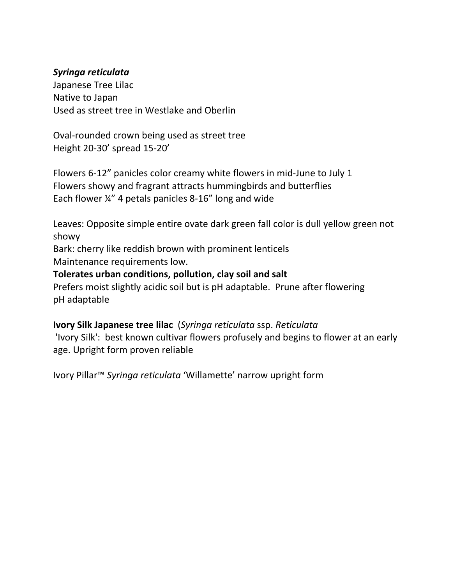## *Syringa reticulata*

Japanese Tree Lilac Native to Japan Used as street tree in Westlake and Oberlin

Oval-rounded crown being used as street tree Height 20-30' spread 15-20'

Flowers 6-12" panicles color creamy white flowers in mid-June to July 1 Flowers showy and fragrant attracts hummingbirds and butterflies Each flower ¼" 4 petals panicles 8-16" long and wide

Leaves: Opposite simple entire ovate dark green fall color is dull yellow green not showy

Bark: cherry like reddish brown with prominent lenticels Maintenance requirements low.

## **Tolerates urban conditions, pollution, clay soil and salt**

Prefers moist slightly acidic soil but is pH adaptable. Prune after flowering pH adaptable

**Ivory Silk Japanese tree lilac** (*Syringa reticulata* ssp. *Reticulata* 'Ivory Silk': best known cultivar flowers profusely and begins to flower at an early age. Upright form proven reliable

Ivory Pillar™ *Syringa reticulata* 'Willamette' narrow upright form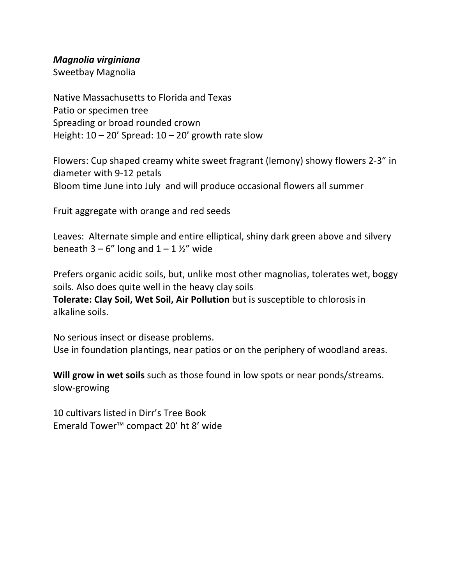#### *Magnolia virginiana*

Sweetbay Magnolia

Native Massachusetts to Florida and Texas Patio or specimen tree Spreading or broad rounded crown Height:  $10 - 20'$  Spread:  $10 - 20'$  growth rate slow

Flowers: Cup shaped creamy white sweet fragrant (lemony) showy flowers 2-3" in diameter with 9-12 petals Bloom time June into July and will produce occasional flowers all summer

Fruit aggregate with orange and red seeds

Leaves: Alternate simple and entire elliptical, shiny dark green above and silvery beneath  $3 - 6$ " long and  $1 - 1$  %" wide

Prefers organic acidic soils, but, unlike most other magnolias, tolerates wet, boggy soils. Also does quite well in the heavy clay soils

**Tolerate: Clay Soil, Wet Soil, Air Pollution** but is susceptible to chlorosis in alkaline soils.

No serious insect or disease problems. Use in foundation plantings, near patios or on the periphery of woodland areas.

**Will grow in wet soils** such as those found in low spots or near ponds/streams. slow-growing

10 cultivars listed in Dirr's Tree Book Emerald Tower™ compact 20' ht 8' wide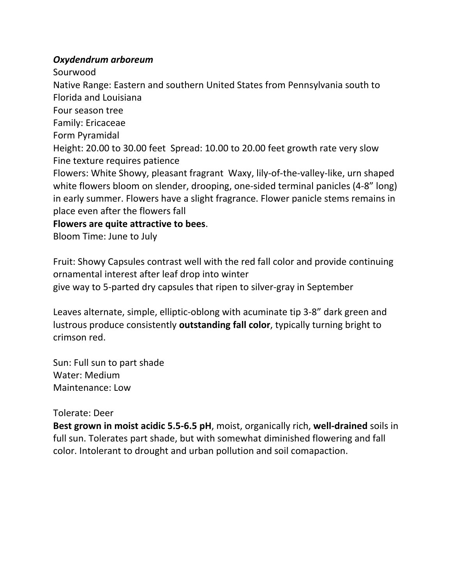#### *Oxydendrum arboreum*

Sourwood

Native Range: Eastern and southern United States from Pennsylvania south to Florida and Louisiana

Four season tree

Family: Ericaceae

Form Pyramidal

Height: 20.00 to 30.00 feet Spread: 10.00 to 20.00 feet growth rate very slow Fine texture requires patience

Flowers: White Showy, pleasant fragrant Waxy, lily-of-the-valley-like, urn shaped white flowers bloom on slender, drooping, one-sided terminal panicles (4-8" long) in early summer. Flowers have a slight fragrance. Flower panicle stems remains in place even after the flowers fall

**Flowers are quite attractive to bees**.

Bloom Time: June to July

Fruit: Showy Capsules contrast well with the red fall color and provide continuing ornamental interest after leaf drop into winter

give way to 5-parted dry capsules that ripen to silver-gray in September

Leaves alternate, simple, elliptic-oblong with acuminate tip 3-8" dark green and lustrous produce consistently **outstanding fall color**, typically turning bright to crimson red.

Sun: Full sun to part shade Water: Medium Maintenance: Low

## Tolerate: Deer

**Best grown in moist acidic 5.5-6.5 pH**, moist, organically rich, **well-drained** soils in full sun. Tolerates part shade, but with somewhat diminished flowering and fall color. Intolerant to drought and urban pollution and soil comapaction.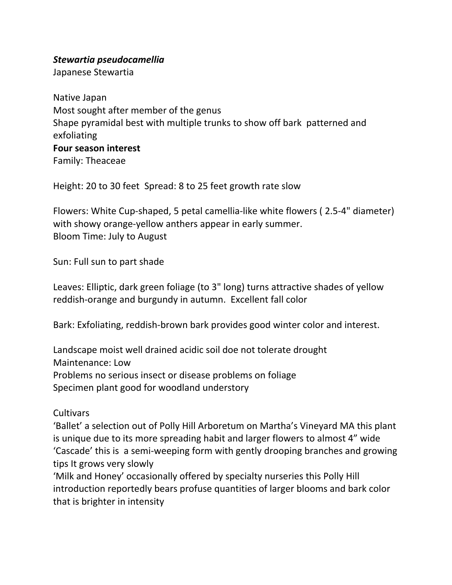## *Stewartia pseudocamellia*

Japanese Stewartia

Native Japan Most sought after member of the genus Shape pyramidal best with multiple trunks to show off bark patterned and exfoliating **Four season interest** Family: Theaceae

Height: 20 to 30 feet Spread: 8 to 25 feet growth rate slow

Flowers: White Cup-shaped, 5 petal camellia-like white flowers ( 2.5-4" diameter) with showy orange-yellow anthers appear in early summer. Bloom Time: July to August

Sun: Full sun to part shade

Leaves: Elliptic, dark green foliage (to 3" long) turns attractive shades of yellow reddish-orange and burgundy in autumn. Excellent fall color

Bark: Exfoliating, reddish-brown bark provides good winter color and interest.

Landscape moist well drained acidic soil doe not tolerate drought Maintenance: Low Problems no serious insect or disease problems on foliage Specimen plant good for woodland understory

## Cultivars

'Ballet' a selection out of Polly Hill Arboretum on Martha's Vineyard MA this plant is unique due to its more spreading habit and larger flowers to almost 4" wide 'Cascade' this is a semi-weeping form with gently drooping branches and growing tips It grows very slowly

'Milk and Honey' occasionally offered by specialty nurseries this Polly Hill introduction reportedly bears profuse quantities of larger blooms and bark color that is brighter in intensity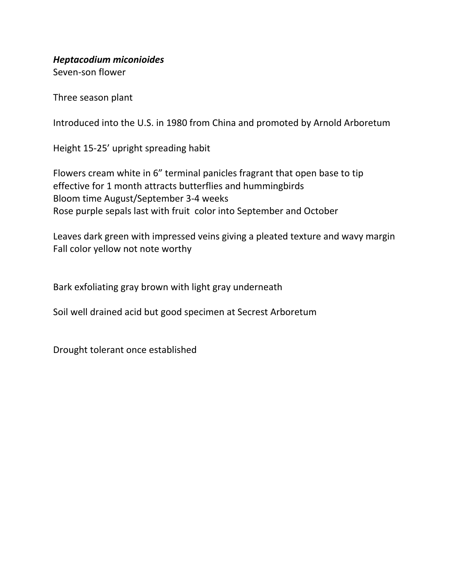*Heptacodium miconioides*

Seven-son flower

Three season plant

Introduced into the U.S. in 1980 from China and promoted by Arnold Arboretum

Height 15-25' upright spreading habit

Flowers cream white in 6" terminal panicles fragrant that open base to tip effective for 1 month attracts butterflies and hummingbirds Bloom time August/September 3-4 weeks Rose purple sepals last with fruit color into September and October

Leaves dark green with impressed veins giving a pleated texture and wavy margin Fall color yellow not note worthy

Bark exfoliating gray brown with light gray underneath

Soil well drained acid but good specimen at Secrest Arboretum

Drought tolerant once established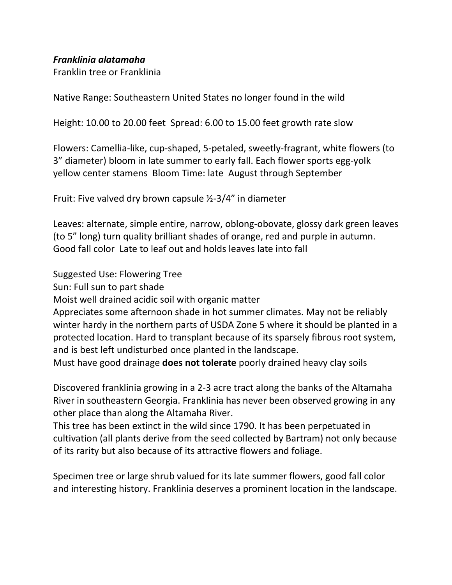## *Franklinia alatamaha*

Franklin tree or Franklinia

Native Range: Southeastern United States no longer found in the wild

Height: 10.00 to 20.00 feet Spread: 6.00 to 15.00 feet growth rate slow

Flowers: Camellia-like, cup-shaped, 5-petaled, sweetly-fragrant, white flowers (to 3" diameter) bloom in late summer to early fall. Each flower sports egg-yolk yellow center stamens Bloom Time: late August through September

Fruit: Five valved dry brown capsule ½-3/4" in diameter

Leaves: alternate, simple entire, narrow, oblong-obovate, glossy dark green leaves (to 5" long) turn quality brilliant shades of orange, red and purple in autumn. Good fall color Late to leaf out and holds leaves late into fall

Suggested Use: Flowering Tree

Sun: Full sun to part shade

Moist well drained acidic soil with organic matter

Appreciates some afternoon shade in hot summer climates. May not be reliably winter hardy in the northern parts of USDA Zone 5 where it should be planted in a protected location. Hard to transplant because of its sparsely fibrous root system, and is best left undisturbed once planted in the landscape.

Must have good drainage **does not tolerate** poorly drained heavy clay soils

Discovered franklinia growing in a 2-3 acre tract along the banks of the Altamaha River in southeastern Georgia. Franklinia has never been observed growing in any other place than along the Altamaha River.

This tree has been extinct in the wild since 1790. It has been perpetuated in cultivation (all plants derive from the seed collected by Bartram) not only because of its rarity but also because of its attractive flowers and foliage.

Specimen tree or large shrub valued for its late summer flowers, good fall color and interesting history. Franklinia deserves a prominent location in the landscape.